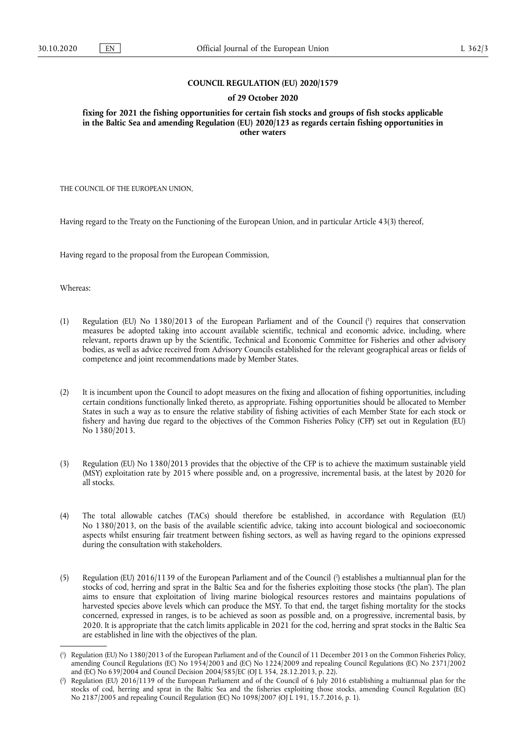#### **COUNCIL REGULATION (EU) 2020/1579**

#### **of 29 October 2020**

**fixing for 2021 the fishing opportunities for certain fish stocks and groups of fish stocks applicable in the Baltic Sea and amending Regulation (EU) 2020/123 as regards certain fishing opportunities in other waters** 

THE COUNCIL OF THE EUROPEAN UNION,

Having regard to the Treaty on the Functioning of the European Union, and in particular Article 43(3) thereof,

Having regard to the proposal from the European Commission,

Whereas:

- <span id="page-0-2"></span>(1) Regulation (EU) No 1380/2013 of the European Parliament and of the Council [\(](#page-0-0) 1 ) requires that conservation measures be adopted taking into account available scientific, technical and economic advice, including, where relevant, reports drawn up by the Scientific, Technical and Economic Committee for Fisheries and other advisory bodies, as well as advice received from Advisory Councils established for the relevant geographical areas or fields of competence and joint recommendations made by Member States.
- (2) It is incumbent upon the Council to adopt measures on the fixing and allocation of fishing opportunities, including certain conditions functionally linked thereto, as appropriate. Fishing opportunities should be allocated to Member States in such a way as to ensure the relative stability of fishing activities of each Member State for each stock or fishery and having due regard to the objectives of the Common Fisheries Policy (CFP) set out in Regulation (EU) No 1380/2013.
- (3) Regulation (EU) No 1380/2013 provides that the objective of the CFP is to achieve the maximum sustainable yield (MSY) exploitation rate by 2015 where possible and, on a progressive, incremental basis, at the latest by 2020 for all stocks.
- (4) The total allowable catches (TACs) should therefore be established, in accordance with Regulation (EU) No 1380/2013, on the basis of the available scientific advice, taking into account biological and socioeconomic aspects whilst ensuring fair treatment between fishing sectors, as well as having regard to the opinions expressed during the consultation with stakeholders.
- <span id="page-0-3"></span>[\(](#page-0-1)5) Regulation (EU) 2016/1139 of the European Parliament and of the Council (<sup>2</sup>) establishes a multiannual plan for the stocks of cod, herring and sprat in the Baltic Sea and for the fisheries exploiting those stocks ('the plan'). The plan aims to ensure that exploitation of living marine biological resources restores and maintains populations of harvested species above levels which can produce the MSY. To that end, the target fishing mortality for the stocks concerned, expressed in ranges, is to be achieved as soon as possible and, on a progressive, incremental basis, by 2020. It is appropriate that the catch limits applicable in 2021 for the cod, herring and sprat stocks in the Baltic Sea are established in line with the objectives of the plan.

<span id="page-0-0"></span>[<sup>\(</sup>](#page-0-2) 1 ) Regulation (EU) No 1380/2013 of the European Parliament and of the Council of 11 December 2013 on the Common Fisheries Policy, amending Council Regulations (EC) No 1954/2003 and (EC) No 1224/2009 and repealing Council Regulations (EC) No 2371/2002 and (EC) No 639/2004 and Council Decision 2004/585/EC (OJ L 354, 28.12.2013, p. 22).

<span id="page-0-1"></span>[<sup>\(</sup>](#page-0-3) 2 ) Regulation (EU) 2016/1139 of the European Parliament and of the Council of 6 July 2016 establishing a multiannual plan for the stocks of cod, herring and sprat in the Baltic Sea and the fisheries exploiting those stocks, amending Council Regulation (EC) No 2187/2005 and repealing Council Regulation (EC) No 1098/2007 (OJ L 191, 15.7.2016, p. 1).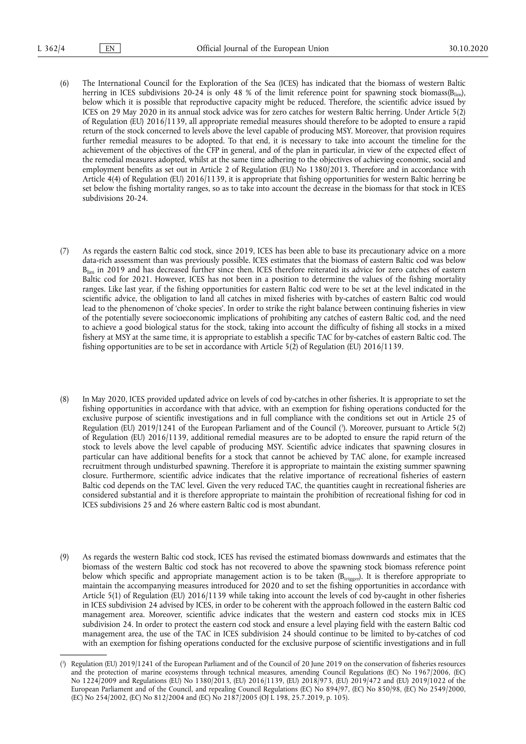- (6) The International Council for the Exploration of the Sea (ICES) has indicated that the biomass of western Baltic herring in ICES subdivisions 20-24 is only 48 % of the limit reference point for spawning stock biomass( $B_{lim}$ ), below which it is possible that reproductive capacity might be reduced. Therefore, the scientific advice issued by ICES on 29 May 2020 in its annual stock advice was for zero catches for western Baltic herring. Under Article 5(2) of Regulation (EU) 2016/1139, all appropriate remedial measures should therefore to be adopted to ensure a rapid return of the stock concerned to levels above the level capable of producing MSY. Moreover, that provision requires further remedial measures to be adopted. To that end, it is necessary to take into account the timeline for the achievement of the objectives of the CFP in general, and of the plan in particular, in view of the expected effect of the remedial measures adopted, whilst at the same time adhering to the objectives of achieving economic, social and employment benefits as set out in Article 2 of Regulation (EU) No 1380/2013. Therefore and in accordance with Article 4(4) of Regulation (EU) 2016/1139, it is appropriate that fishing opportunities for western Baltic herring be set below the fishing mortality ranges, so as to take into account the decrease in the biomass for that stock in ICES subdivisions 20-24.
- (7) As regards the eastern Baltic cod stock, since 2019, ICES has been able to base its precautionary advice on a more data-rich assessment than was previously possible. ICES estimates that the biomass of eastern Baltic cod was below  $B_{\text{lim}}$  in 2019 and has decreased further since then. ICES therefore reiterated its advice for zero catches of eastern Baltic cod for 2021. However, ICES has not been in a position to determine the values of the fishing mortality ranges. Like last year, if the fishing opportunities for eastern Baltic cod were to be set at the level indicated in the scientific advice, the obligation to land all catches in mixed fisheries with by-catches of eastern Baltic cod would lead to the phenomenon of 'choke species'. In order to strike the right balance between continuing fisheries in view of the potentially severe socioeconomic implications of prohibiting any catches of eastern Baltic cod, and the need to achieve a good biological status for the stock, taking into account the difficulty of fishing all stocks in a mixed fishery at MSY at the same time, it is appropriate to establish a specific TAC for by-catches of eastern Baltic cod. The fishing opportunities are to be set in accordance with Article 5(2) of Regulation (EU) 2016/1139.
- <span id="page-1-1"></span>(8) In May 2020, ICES provided updated advice on levels of cod by-catches in other fisheries. It is appropriate to set the fishing opportunities in accordance with that advice, with an exemption for fishing operations conducted for the exclusive purpose of scientific investigations and in full compliance with the conditions set out in Article 25 of Regulation (EU) 2019/1241 of the European Parliament and of the Council [\(](#page-1-0) 3 ). Moreover, pursuant to Article 5(2) of Regulation (EU) 2016/1139, additional remedial measures are to be adopted to ensure the rapid return of the stock to levels above the level capable of producing MSY. Scientific advice indicates that spawning closures in particular can have additional benefits for a stock that cannot be achieved by TAC alone, for example increased recruitment through undisturbed spawning. Therefore it is appropriate to maintain the existing summer spawning closure. Furthermore, scientific advice indicates that the relative importance of recreational fisheries of eastern Baltic cod depends on the TAC level. Given the very reduced TAC, the quantities caught in recreational fisheries are considered substantial and it is therefore appropriate to maintain the prohibition of recreational fishing for cod in ICES subdivisions 25 and 26 where eastern Baltic cod is most abundant.
- (9) As regards the western Baltic cod stock, ICES has revised the estimated biomass downwards and estimates that the biomass of the western Baltic cod stock has not recovered to above the spawning stock biomass reference point below which specific and appropriate management action is to be taken  $(B_{trigger})$ . It is therefore appropriate to maintain the accompanying measures introduced for 2020 and to set the fishing opportunities in accordance with Article 5(1) of Regulation (EU) 2016/1139 while taking into account the levels of cod by-caught in other fisheries in ICES subdivision 24 advised by ICES, in order to be coherent with the approach followed in the eastern Baltic cod management area. Moreover, scientific advice indicates that the western and eastern cod stocks mix in ICES subdivision 24. In order to protect the eastern cod stock and ensure a level playing field with the eastern Baltic cod management area, the use of the TAC in ICES subdivision 24 should continue to be limited to by-catches of cod with an exemption for fishing operations conducted for the exclusive purpose of scientific investigations and in full

<span id="page-1-0"></span>[<sup>\(</sup>](#page-1-1) 3 ) Regulation (EU) 2019/1241 of the European Parliament and of the Council of 20 June 2019 on the conservation of fisheries resources and the protection of marine ecosystems through technical measures, amending Council Regulations (EC) No 1967/2006, (EC) No 1224/2009 and Regulations (EU) No 1380/2013, (EU) 2016/1139, (EU) 2018/973, (EU) 2019/472 and (EU) 2019/1022 of the European Parliament and of the Council, and repealing Council Regulations (EC) No 894/97, (EC) No 850/98, (EC) No 2549/2000, (EC) No 254/2002, (EC) No 812/2004 and (EC) No 2187/2005 (OJ L 198, 25.7.2019, p. 105).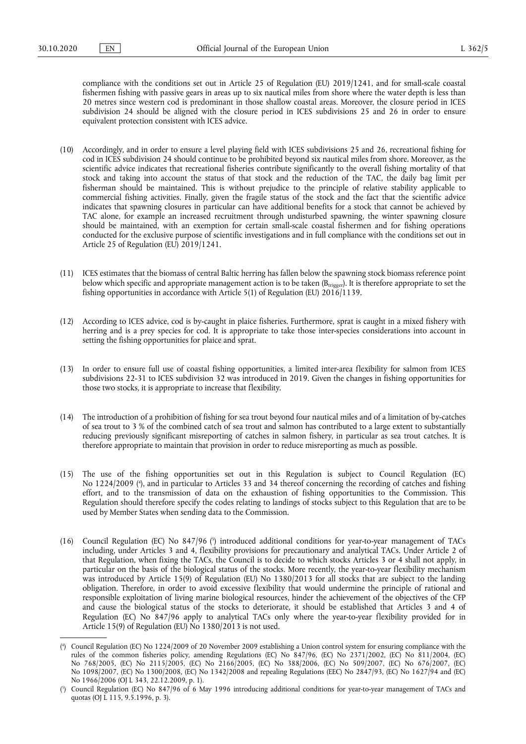compliance with the conditions set out in Article 25 of Regulation (EU) 2019/1241, and for small-scale coastal fishermen fishing with passive gears in areas up to six nautical miles from shore where the water depth is less than 20 metres since western cod is predominant in those shallow coastal areas. Moreover, the closure period in ICES subdivision 24 should be aligned with the closure period in ICES subdivisions 25 and 26 in order to ensure equivalent protection consistent with ICES advice.

- (10) Accordingly, and in order to ensure a level playing field with ICES subdivisions 25 and 26, recreational fishing for cod in ICES subdivision 24 should continue to be prohibited beyond six nautical miles from shore. Moreover, as the scientific advice indicates that recreational fisheries contribute significantly to the overall fishing mortality of that stock and taking into account the status of that stock and the reduction of the TAC, the daily bag limit per fisherman should be maintained. This is without prejudice to the principle of relative stability applicable to commercial fishing activities. Finally, given the fragile status of the stock and the fact that the scientific advice indicates that spawning closures in particular can have additional benefits for a stock that cannot be achieved by TAC alone, for example an increased recruitment through undisturbed spawning, the winter spawning closure should be maintained, with an exemption for certain small-scale coastal fishermen and for fishing operations conducted for the exclusive purpose of scientific investigations and in full compliance with the conditions set out in Article 25 of Regulation (EU) 2019/1241.
- (11) ICES estimates that the biomass of central Baltic herring has fallen below the spawning stock biomass reference point below which specific and appropriate management action is to be taken (B<sub>trigger</sub>). It is therefore appropriate to set the fishing opportunities in accordance with Article 5(1) of Regulation (EU) 2016/1139.
- (12) According to ICES advice, cod is by-caught in plaice fisheries. Furthermore, sprat is caught in a mixed fishery with herring and is a prey species for cod. It is appropriate to take those inter-species considerations into account in setting the fishing opportunities for plaice and sprat.
- (13) In order to ensure full use of coastal fishing opportunities, a limited inter-area flexibility for salmon from ICES subdivisions 22-31 to ICES subdivision 32 was introduced in 2019. Given the changes in fishing opportunities for those two stocks, it is appropriate to increase that flexibility.
- (14) The introduction of a prohibition of fishing for sea trout beyond four nautical miles and of a limitation of by-catches of sea trout to 3 % of the combined catch of sea trout and salmon has contributed to a large extent to substantially reducing previously significant misreporting of catches in salmon fishery, in particular as sea trout catches. It is therefore appropriate to maintain that provision in order to reduce misreporting as much as possible.
- <span id="page-2-2"></span>(15) The use of the fishing opportunities set out in this Regulation is subject to Council Regulation (EC) No 1224/2009 ( 4 [\),](#page-2-0) and in particular to Articles 33 and 34 thereof concerning the recording of catches and fishing effort, and to the transmission of data on the exhaustion of fishing opportunities to the Commission. This Regulation should therefore specify the codes relating to landings of stocks subject to this Regulation that are to be used by Member States when sending data to the Commission.
- <span id="page-2-3"></span>(16) Council Regulation (EC) No 847/96 [\(](#page-2-1) 5 ) introduced additional conditions for year-to-year management of TACs including, under Articles 3 and 4, flexibility provisions for precautionary and analytical TACs. Under Article 2 of that Regulation, when fixing the TACs, the Council is to decide to which stocks Articles 3 or 4 shall not apply, in particular on the basis of the biological status of the stocks. More recently, the year-to-year flexibility mechanism was introduced by Article 15(9) of Regulation (EU) No 1380/2013 for all stocks that are subject to the landing obligation. Therefore, in order to avoid excessive flexibility that would undermine the principle of rational and responsible exploitation of living marine biological resources, hinder the achievement of the objectives of the CFP and cause the biological status of the stocks to deteriorate, it should be established that Articles 3 and 4 of Regulation (EC) No 847/96 apply to analytical TACs only where the year-to-year flexibility provided for in Article 15(9) of Regulation (EU) No 1380/2013 is not used.

<span id="page-2-0"></span>[<sup>\(</sup>](#page-2-2) 4 ) Council Regulation (EC) No 1224/2009 of 20 November 2009 establishing a Union control system for ensuring compliance with the rules of the common fisheries policy, amending Regulations (EC) No 847/96, (EC) No 2371/2002, (EC) No 811/2004, (EC) No 768/2005, (EC) No 2115/2005, (EC) No 2166/2005, (EC) No 388/2006, (EC) No 509/2007, (EC) No 676/2007, (EC) No 1098/2007, (EC) No 1300/2008, (EC) No 1342/2008 and repealing Regulations (EEC) No 2847/93, (EC) No 1627/94 and (EC) No 1966/2006 (OJ L 343, 22.12.2009, p. 1).

<span id="page-2-1"></span>[<sup>\(</sup>](#page-2-3) 5 ) Council Regulation (EC) No 847/96 of 6 May 1996 introducing additional conditions for year-to-year management of TACs and quotas (OJ L 115, 9.5.1996, p. 3).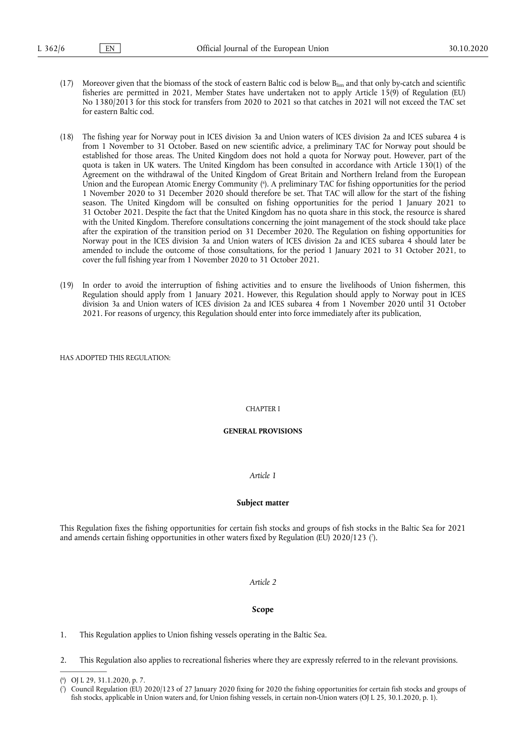- (17) Moreover given that the biomass of the stock of eastern Baltic cod is below Blim and that only by-catch and scientific fisheries are permitted in 2021, Member States have undertaken not to apply Article 15(9) of Regulation (EU) No 1380/2013 for this stock for transfers from 2020 to 2021 so that catches in 2021 will not exceed the TAC set for eastern Baltic cod.
- <span id="page-3-2"></span>(18) The fishing year for Norway pout in ICES division 3a and Union waters of ICES division 2a and ICES subarea 4 is from 1 November to 31 October. Based on new scientific advice, a preliminary TAC for Norway pout should be established for those areas. The United Kingdom does not hold a quota for Norway pout. However, part of the quota is taken in UK waters. The United Kingdom has been consulted in accordance with Article 130(1) of the Agreement on the withdrawal of the United Kingdom of Great Britain and Northern Ireland from the European Union and the European Atomic Energy Community [\(](#page-3-0) 6 ). A preliminary TAC for fishing opportunities for the period 1 November 2020 to 31 December 2020 should therefore be set. That TAC will allow for the start of the fishing season. The United Kingdom will be consulted on fishing opportunities for the period 1 January 2021 to 31 October 2021. Despite the fact that the United Kingdom has no quota share in this stock, the resource is shared with the United Kingdom. Therefore consultations concerning the joint management of the stock should take place after the expiration of the transition period on 31 December 2020. The Regulation on fishing opportunities for Norway pout in the ICES division 3a and Union waters of ICES division 2a and ICES subarea 4 should later be amended to include the outcome of those consultations, for the period 1 January 2021 to 31 October 2021, to cover the full fishing year from 1 November 2020 to 31 October 2021.
- (19) In order to avoid the interruption of fishing activities and to ensure the livelihoods of Union fishermen, this Regulation should apply from 1 January 2021. However, this Regulation should apply to Norway pout in ICES division 3a and Union waters of ICES division 2a and ICES subarea 4 from 1 November 2020 until 31 October 2021. For reasons of urgency, this Regulation should enter into force immediately after its publication,

HAS ADOPTED THIS REGULATION:

#### CHAPTER I

#### **GENERAL PROVISIONS**

#### *Article 1*

### **Subject matter**

<span id="page-3-3"></span>This Regulation fixes the fishing opportunities for certain fish stocks and groups of fish stocks in the Baltic Sea for 2021 and amends certain fishing opportunities in other waters fixed by Regulation (EU) 2020/123 [\(](#page-3-1) 7 ).

#### *Article 2*

#### **Scope**

1. This Regulation applies to Union fishing vessels operating in the Baltic Sea.

2. This Regulation also applies to recreational fisheries where they are expressly referred to in the relevant provisions.

<span id="page-3-0"></span>[<sup>\(</sup>](#page-3-2) 6 ) OJ L 29, 31.1.2020, p. 7.

<span id="page-3-1"></span>[<sup>\(</sup>](#page-3-3) 7 ) Council Regulation (EU) 2020/123 of 27 January 2020 fixing for 2020 the fishing opportunities for certain fish stocks and groups of fish stocks, applicable in Union waters and, for Union fishing vessels, in certain non-Union waters (OJ L 25, 30.1.2020, p. 1).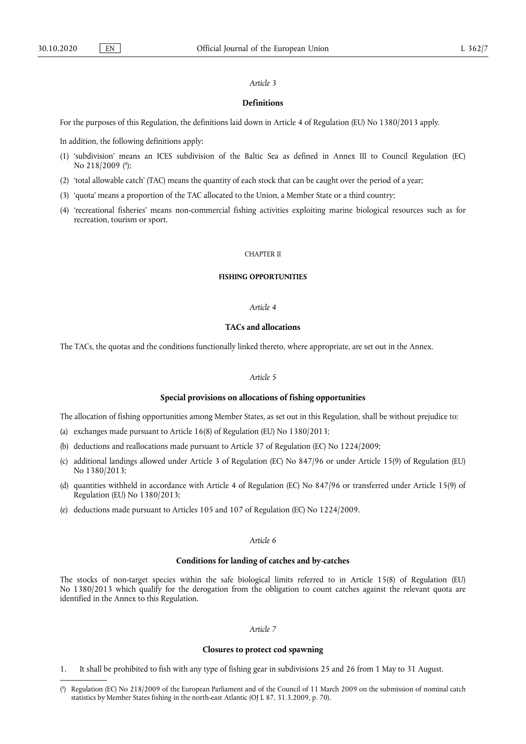## *Article 3*

## **Definitions**

For the purposes of this Regulation, the definitions laid down in Article 4 of Regulation (EU) No 1380/2013 apply.

In addition, the following definitions apply:

- <span id="page-4-1"></span>(1) 'subdivision' means an ICES subdivision of the Baltic Sea as defined in Annex III to Council Regulation (EC) No 218/2009 ( 8 [\);](#page-4-0)
- (2) 'total allowable catch' (TAC) means the quantity of each stock that can be caught over the period of a year;
- (3) 'quota' means a proportion of the TAC allocated to the Union, a Member State or a third country;
- (4) 'recreational fisheries' means non-commercial fishing activities exploiting marine biological resources such as for recreation, tourism or sport.

#### CHAPTER II

## **FISHING OPPORTUNITIES**

#### *Article 4*

## **TACs and allocations**

The TACs, the quotas and the conditions functionally linked thereto, where appropriate, are set out in the Annex.

## *Article 5*

### **Special provisions on allocations of fishing opportunities**

The allocation of fishing opportunities among Member States, as set out in this Regulation, shall be without prejudice to:

- (a) exchanges made pursuant to Article 16(8) of Regulation (EU) No 1380/2013;
- (b) deductions and reallocations made pursuant to Article 37 of Regulation (EC) No 1224/2009;
- (c) additional landings allowed under Article 3 of Regulation (EC) No 847/96 or under Article 15(9) of Regulation (EU) No 1380/2013;
- (d) quantities withheld in accordance with Article 4 of Regulation (EC) No 847/96 or transferred under Article 15(9) of Regulation (EU) No 1380/2013;
- (e) deductions made pursuant to Articles 105 and 107 of Regulation (EC) No 1224/2009.

# *Article 6*

## **Conditions for landing of catches and by-catches**

The stocks of non-target species within the safe biological limits referred to in Article 15(8) of Regulation (EU) No 1380/2013 which qualify for the derogation from the obligation to count catches against the relevant quota are identified in the Annex to this Regulation.

#### *Article 7*

#### **Closures to protect cod spawning**

1. It shall be prohibited to fish with any type of fishing gear in subdivisions 25 and 26 from 1 May to 31 August.

<span id="page-4-0"></span>[<sup>\(</sup>](#page-4-1) 8 ) Regulation (EC) No 218/2009 of the European Parliament and of the Council of 11 March 2009 on the submission of nominal catch statistics by Member States fishing in the north-east Atlantic (OJ L 87, 31.3.2009, p. 70).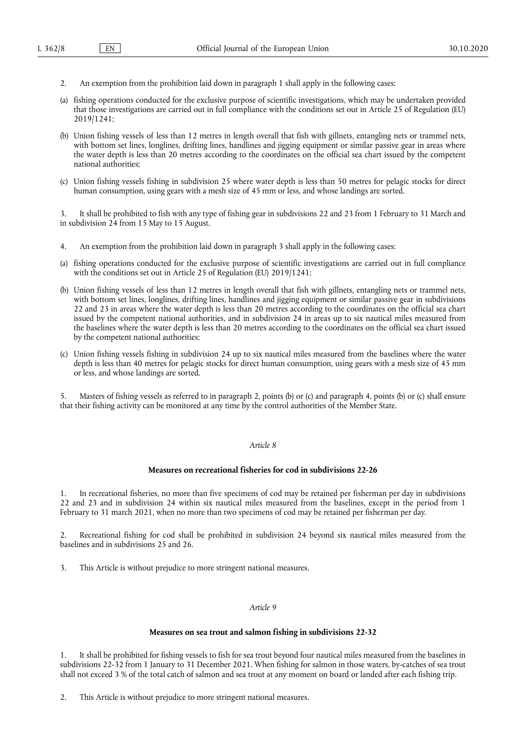- 2. An exemption from the prohibition laid down in paragraph 1 shall apply in the following cases:
- (a) fishing operations conducted for the exclusive purpose of scientific investigations, which may be undertaken provided that those investigations are carried out in full compliance with the conditions set out in Article 25 of Regulation (EU) 2019/1241;
- (b) Union fishing vessels of less than 12 metres in length overall that fish with gillnets, entangling nets or trammel nets, with bottom set lines, longlines, drifting lines, handlines and jigging equipment or similar passive gear in areas where the water depth is less than 20 metres according to the coordinates on the official sea chart issued by the competent national authorities;
- (c) Union fishing vessels fishing in subdivision 25 where water depth is less than 50 metres for pelagic stocks for direct human consumption, using gears with a mesh size of 45 mm or less, and whose landings are sorted.

3. It shall be prohibited to fish with any type of fishing gear in subdivisions 22 and 23 from 1 February to 31 March and in subdivision 24 from 15 May to 15 August.

- 4. An exemption from the prohibition laid down in paragraph 3 shall apply in the following cases:
- (a) fishing operations conducted for the exclusive purpose of scientific investigations are carried out in full compliance with the conditions set out in Article 25 of Regulation (EU) 2019/1241;
- (b) Union fishing vessels of less than 12 metres in length overall that fish with gillnets, entangling nets or trammel nets, with bottom set lines, longlines, drifting lines, handlines and jigging equipment or similar passive gear in subdivisions 22 and 23 in areas where the water depth is less than 20 metres according to the coordinates on the official sea chart issued by the competent national authorities, and in subdivision 24 in areas up to six nautical miles measured from the baselines where the water depth is less than 20 metres according to the coordinates on the official sea chart issued by the competent national authorities;
- (c) Union fishing vessels fishing in subdivision 24 up to six nautical miles measured from the baselines where the water depth is less than 40 metres for pelagic stocks for direct human consumption, using gears with a mesh size of 45 mm or less, and whose landings are sorted.

Masters of fishing vessels as referred to in paragraph 2, points (b) or (c) and paragraph 4, points (b) or (c) shall ensure that their fishing activity can be monitored at any time by the control authorities of the Member State.

#### *Article 8*

## **Measures on recreational fisheries for cod in subdivisions 22-26**

1. In recreational fisheries, no more than five specimens of cod may be retained per fisherman per day in subdivisions 22 and 23 and in subdivision 24 within six nautical miles measured from the baselines, except in the period from 1 February to 31 march 2021, when no more than two specimens of cod may be retained per fisherman per day.

Recreational fishing for cod shall be prohibited in subdivision 24 beyond six nautical miles measured from the baselines and in subdivisions 25 and 26.

3. This Article is without prejudice to more stringent national measures.

### *Article 9*

## **Measures on sea trout and salmon fishing in subdivisions 22-32**

1. It shall be prohibited for fishing vessels to fish for sea trout beyond four nautical miles measured from the baselines in subdivisions 22-32 from 1 January to 31 December 2021. When fishing for salmon in those waters, by-catches of sea trout shall not exceed 3 % of the total catch of salmon and sea trout at any moment on board or landed after each fishing trip.

2. This Article is without prejudice to more stringent national measures.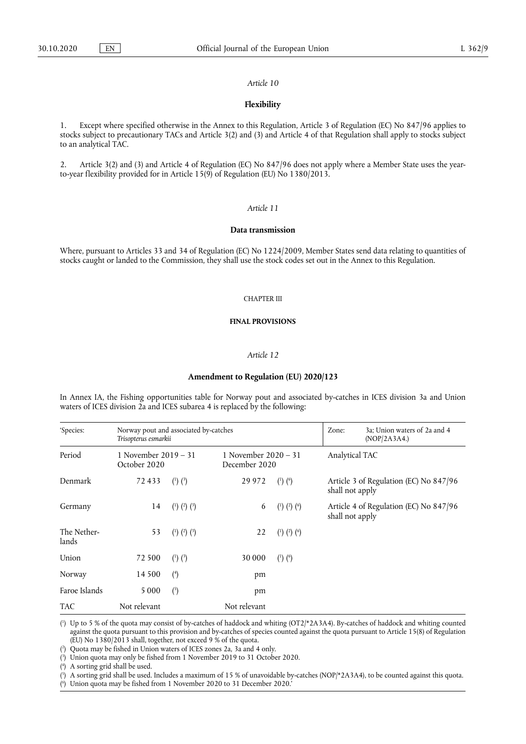#### *Article 10*

## **Flexibility**

1. Except where specified otherwise in the Annex to this Regulation, Article 3 of Regulation (EC) No 847/96 applies to stocks subject to precautionary TACs and Article 3(2) and (3) and Article 4 of that Regulation shall apply to stocks subject to an analytical TAC.

2. Article 3(2) and (3) and Article 4 of Regulation (EC) No 847/96 does not apply where a Member State uses the yearto-year flexibility provided for in Article 15(9) of Regulation (EU) No 1380/2013.

### *Article 11*

#### **Data transmission**

Where, pursuant to Articles 33 and 34 of Regulation (EC) No 1224/2009, Member States send data relating to quantities of stocks caught or landed to the Commission, they shall use the stock codes set out in the Annex to this Regulation.

#### CHAPTER III

#### **FINAL PROVISIONS**

### *Article 12*

#### <span id="page-6-7"></span><span id="page-6-6"></span>**Amendment to Regulation (EU) 2020/123**

In Annex IA, the Fishing opportunities table for Norway pout and associated by-catches in ICES division 3a and Union waters of ICES division 2a and ICES subarea 4 is replaced by the following:

| 'Species:            | Norway pout and associated by-catches<br>Trisopterus esmarkii |                               |              | Zone:                                 | 3a; Union waters of 2a and 4<br>(NOP/2A3A4.) |                                        |
|----------------------|---------------------------------------------------------------|-------------------------------|--------------|---------------------------------------|----------------------------------------------|----------------------------------------|
| Period               | 1 November $2019 - 31$<br>October 2020                        |                               |              | 1 November 2020 - 31<br>December 2020 |                                              | Analytical TAC                         |
| Denmark              | 72433                                                         | $\binom{1}{2}\binom{3}{2}$    | 29 9 7 2     | $\binom{1}{2}$ $\binom{6}{2}$         | shall not apply                              | Article 3 of Regulation (EC) No 847/96 |
| Germany              | 14                                                            | $(^{1})$ $(^{2})$ $(^{3})$    | 6            | $(^{1})$ $(^{2})$ $(^{6})$            | shall not apply                              | Article 4 of Regulation (EC) No 847/96 |
| The Nether-<br>lands | 53                                                            | $(^{1})$ $(^{2})$ $(^{3})$    | 22           | $(1)$ $(2)$ $(6)$                     |                                              |                                        |
| Union                | 72 500                                                        | $\binom{1}{2}$ $\binom{3}{2}$ | 30 000       | $\binom{1}{2}$ $\binom{6}{2}$         |                                              |                                        |
| Norway               | 14 500                                                        | (4)                           | pm           |                                       |                                              |                                        |
| Faroe Islands        | 5 0 0 0                                                       | $\binom{5}{ }$                | pm           |                                       |                                              |                                        |
| <b>TAC</b>           | Not relevant                                                  |                               | Not relevant |                                       |                                              |                                        |

<span id="page-6-10"></span><span id="page-6-9"></span><span id="page-6-8"></span><span id="page-6-0"></span>( 1 [\)](#page-6-6) Up to 5 % of the quota may consist of by-catches of haddock and whiting (OT2/\*2A3A4). By-catches of haddock and whiting counted against the quota pursuant to this provision and by-catches of species counted against the quota pursuant to Article 15(8) of Regulation (EU) No 1380/2013 shall, together, not exceed 9 % of the quota.

<span id="page-6-3"></span>( 2 [\)](#page-6-7) Quota may be fished in Union waters of ICES zones 2a, 3a and 4 only.

<span id="page-6-1"></span>( 3 [\)](#page-6-8) Union quota may only be fished from 1 November 2019 to 31 October 2020.

<span id="page-6-4"></span>( 4 [\)](#page-6-9) A sorting grid shall be used.

<span id="page-6-5"></span>( 5 [\)](#page-6-10) A sorting grid shall be used. Includes a maximum of 15 % of unavoidable by-catches (NOP/\*2A3A4), to be counted against this quota.

<span id="page-6-2"></span>( 6 [\)](#page-6-6) Union quota may be fished from 1 November 2020 to 31 December 2020.'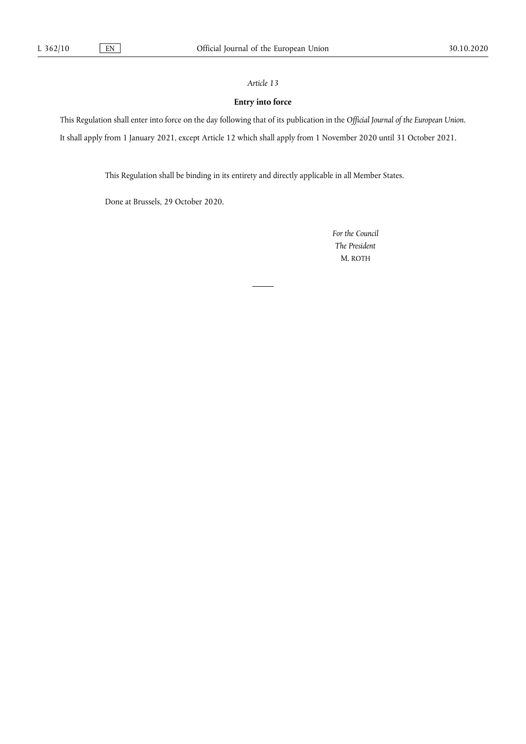# *Article 13*

# **Entry into force**

This Regulation shall enter into force on the day following that of its publication in the *Official Journal of the European Union*. It shall apply from 1 January 2021, except Article 12 which shall apply from 1 November 2020 until 31 October 2021.

This Regulation shall be binding in its entirety and directly applicable in all Member States.

Done at Brussels, 29 October 2020.

*For the Council The President*  M. ROTH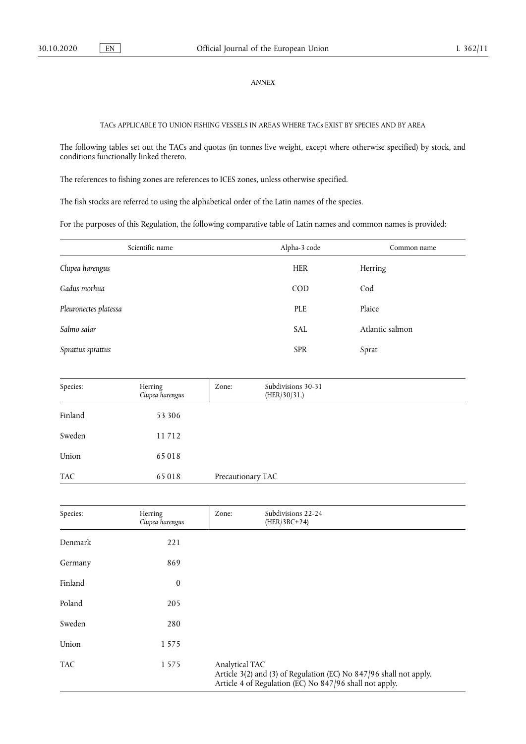## *ANNEX*

TACs APPLICABLE TO UNION FISHING VESSELS IN AREAS WHERE TACs EXIST BY SPECIES AND BY AREA

The following tables set out the TACs and quotas (in tonnes live weight, except where otherwise specified) by stock, and conditions functionally linked thereto.

The references to fishing zones are references to ICES zones, unless otherwise specified.

The fish stocks are referred to using the alphabetical order of the Latin names of the species.

For the purposes of this Regulation, the following comparative table of Latin names and common names is provided:

| Scientific name       | Alpha-3 code | Common name     |
|-----------------------|--------------|-----------------|
| Clupea harengus       | <b>HER</b>   | Herring         |
| Gadus morhua          | <b>COD</b>   | Cod             |
| Pleuronectes platessa | PLE          | Plaice          |
| Salmo salar           | <b>SAL</b>   | Atlantic salmon |
| Sprattus sprattus     | <b>SPR</b>   | Sprat           |

| Species: | Herring<br>Clupea harengus | Zone:             | Subdivisions 30-31<br>(HER/30/31.) |  |
|----------|----------------------------|-------------------|------------------------------------|--|
| Finland  | 53 306                     |                   |                                    |  |
| Sweden   | 11712                      |                   |                                    |  |
| Union    | 65 018                     |                   |                                    |  |
| TAC      | 65 018                     | Precautionary TAC |                                    |  |

| Species:   | Herring<br>Clupea harengus | Zone:          | Subdivisions 22-24<br>$(HER/3BC+24)$                                                                                          |
|------------|----------------------------|----------------|-------------------------------------------------------------------------------------------------------------------------------|
| Denmark    | 221                        |                |                                                                                                                               |
| Germany    | 869                        |                |                                                                                                                               |
| Finland    | $\boldsymbol{0}$           |                |                                                                                                                               |
| Poland     | 205                        |                |                                                                                                                               |
| Sweden     | 280                        |                |                                                                                                                               |
| Union      | 1 5 7 5                    |                |                                                                                                                               |
| <b>TAC</b> | 1575                       | Analytical TAC | Article 3(2) and (3) of Regulation (EC) No 847/96 shall not apply.<br>Article 4 of Regulation (EC) No 847/96 shall not apply. |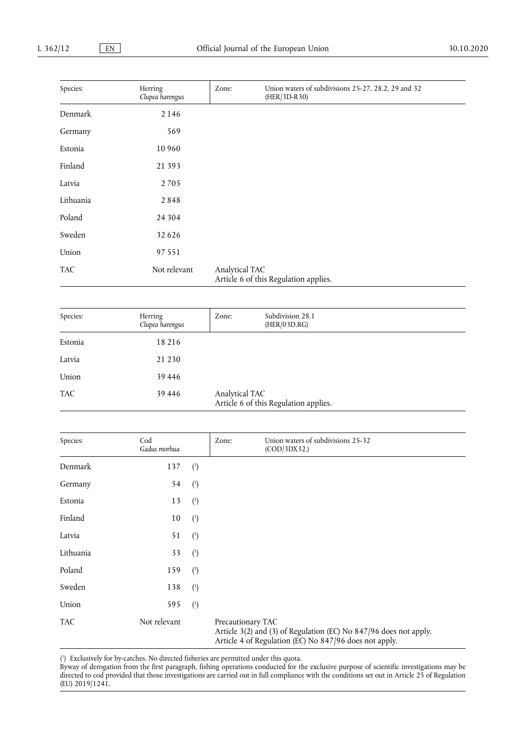| Species:   | Herring<br>Clupea harengus | Zone:          | Union waters of subdivisions 25-27, 28.2, 29 and 32<br>(HER/3D-R30) |  |
|------------|----------------------------|----------------|---------------------------------------------------------------------|--|
| Denmark    | 2 1 4 6                    |                |                                                                     |  |
| Germany    | 569                        |                |                                                                     |  |
| Estonia    | 10 960                     |                |                                                                     |  |
| Finland    | 21 3 9 3                   |                |                                                                     |  |
| Latvia     | 2 7 0 5                    |                |                                                                     |  |
| Lithuania  | 2848                       |                |                                                                     |  |
| Poland     | 24 304                     |                |                                                                     |  |
| Sweden     | 32 6 26                    |                |                                                                     |  |
| Union      | 97 551                     |                |                                                                     |  |
| <b>TAC</b> | Not relevant               | Analytical TAC | Article 6 of this Regulation applies.                               |  |

| Species:   | Herring<br>Clupea harengus | Zone:          | Subdivision 28.1<br>(HER/03D.RG)      |  |
|------------|----------------------------|----------------|---------------------------------------|--|
| Estonia    | 18 216                     |                |                                       |  |
| Latvia     | 21 2 30                    |                |                                       |  |
| Union      | 39 4 4 6                   |                |                                       |  |
| <b>TAC</b> | 39 4 4 6                   | Analytical TAC | Article 6 of this Regulation applies. |  |

| Species:   | Cod<br>Gadus morhua |                | Union waters of subdivisions 25-32<br>Zone:<br>(COD/3DX32.)                                                                                      |  |
|------------|---------------------|----------------|--------------------------------------------------------------------------------------------------------------------------------------------------|--|
| Denmark    | 137                 | $\binom{1}{2}$ |                                                                                                                                                  |  |
| Germany    | 54                  | $\binom{1}{ }$ |                                                                                                                                                  |  |
| Estonia    | 13                  | $\binom{1}{ }$ |                                                                                                                                                  |  |
| Finland    | 10                  | $\binom{1}{ }$ |                                                                                                                                                  |  |
| Latvia     | 51                  | $\binom{1}{ }$ |                                                                                                                                                  |  |
| Lithuania  | 33                  | $\binom{1}{1}$ |                                                                                                                                                  |  |
| Poland     | 159                 | $\binom{1}{1}$ |                                                                                                                                                  |  |
| Sweden     | 138                 | $\binom{1}{ }$ |                                                                                                                                                  |  |
| Union      | 595                 | $\binom{1}{ }$ |                                                                                                                                                  |  |
| <b>TAC</b> | Not relevant        |                | Precautionary TAC<br>Article 3(2) and (3) of Regulation (EC) No 847/96 does not apply.<br>Article 4 of Regulation (EC) No 847/96 does not apply. |  |

<span id="page-9-1"></span><span id="page-9-0"></span>( 1 [\)](#page-9-1) Exclusively for by-catches. No directed fisheries are permitted under this quota.

Byway of derogation from the first paragraph, fishing operations conducted for the exclusive purpose of scientific investigations may be directed to cod provided that those investigations are carried out in full compliance with the conditions set out in Article 25 of Regulation (EU) 2019/1241.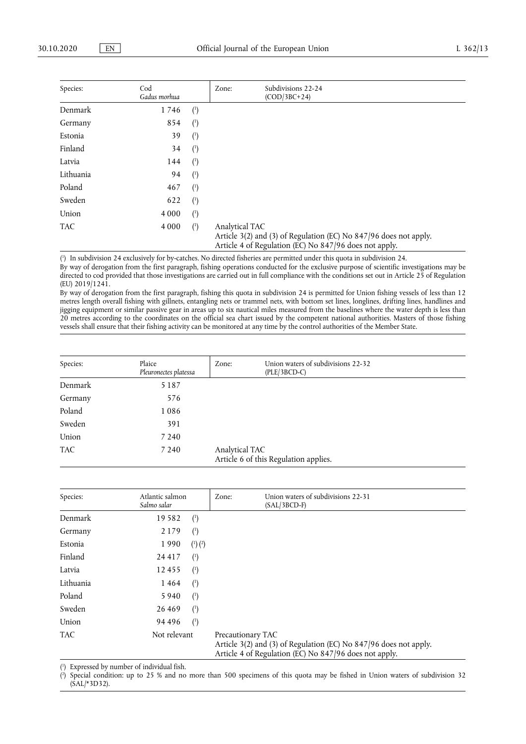| Species:   | Cod<br>Gadus morhua |                | Subdivisions 22-24<br>Zone:<br>$(COD/3BC+24)$                                                                                                 |
|------------|---------------------|----------------|-----------------------------------------------------------------------------------------------------------------------------------------------|
| Denmark    | 1746                | $\binom{1}{ }$ |                                                                                                                                               |
| Germany    | 854                 | $\binom{1}{1}$ |                                                                                                                                               |
| Estonia    | 39                  | $\binom{1}{1}$ |                                                                                                                                               |
| Finland    | 34                  | $\binom{1}{1}$ |                                                                                                                                               |
| Latvia     | 144                 | $\binom{1}{1}$ |                                                                                                                                               |
| Lithuania  | 94                  | $\binom{1}{1}$ |                                                                                                                                               |
| Poland     | 467                 | $\binom{1}{1}$ |                                                                                                                                               |
| Sweden     | 622                 | $\binom{1}{1}$ |                                                                                                                                               |
| Union      | 4 0 0 0             | $\binom{1}{ }$ |                                                                                                                                               |
| <b>TAC</b> | 4 0 0 0             | $\binom{1}{ }$ | Analytical TAC<br>Article 3(2) and (3) of Regulation (EC) No 847/96 does not apply.<br>Article 4 of Regulation (EC) No 847/96 does not apply. |

<span id="page-10-1"></span><span id="page-10-0"></span>( 1 [\)](#page-10-1) In subdivision 24 exclusively for by-catches. No directed fisheries are permitted under this quota in subdivision 24.

By way of derogation from the first paragraph, fishing operations conducted for the exclusive purpose of scientific investigations may be directed to cod provided that those investigations are carried out in full compliance with the conditions set out in Article 25 of Regulation (EU) 2019/1241.

By way of derogation from the first paragraph, fishing this quota in subdivision 24 is permitted for Union fishing vessels of less than 12 metres length overall fishing with gillnets, entangling nets or trammel nets, with bottom set lines, longlines, drifting lines, handlines and jigging equipment or similar passive gear in areas up to six nautical miles measured from the baselines where the water depth is less than 20 metres according to the coordinates on the official sea chart issued by the competent national authorities. Masters of those fishing vessels shall ensure that their fishing activity can be monitored at any time by the control authorities of the Member State.

| Species: | Plaice<br>Pleuronectes platessa | Zone:          | Union waters of subdivisions 22-32<br>$(PLE/3BCD-C)$ |
|----------|---------------------------------|----------------|------------------------------------------------------|
| Denmark  | 5 1 8 7                         |                |                                                      |
| Germany  | 576                             |                |                                                      |
| Poland   | 1086                            |                |                                                      |
| Sweden   | 391                             |                |                                                      |
| Union    | 7 2 4 0                         |                |                                                      |
| TAC      | 7 2 4 0                         | Analytical TAC | Article 6 of this Regulation applies.                |

<span id="page-10-5"></span>

| Species:   | Atlantic salmon<br>Salmo salar | Zone: | Union waters of subdivisions 22-31<br>$(SAL/3BCD-F)$                                                                                             |
|------------|--------------------------------|-------|--------------------------------------------------------------------------------------------------------------------------------------------------|
| Denmark    | 19582<br>$\binom{1}{1}$        |       |                                                                                                                                                  |
| Germany    | 2 1 7 9<br>$(\cdot)$           |       |                                                                                                                                                  |
| Estonia    | 1990<br>$\binom{1}{2}$         |       |                                                                                                                                                  |
| Finland    | 24 4 1 7<br>(1)                |       |                                                                                                                                                  |
| Latvia     | 12455<br>(1)                   |       |                                                                                                                                                  |
| Lithuania  | 1464<br>$(\cdot)$              |       |                                                                                                                                                  |
| Poland     | 5940<br>$(\cdot)$              |       |                                                                                                                                                  |
| Sweden     | 26 4 6 9<br>$^{\prime}$        |       |                                                                                                                                                  |
| Union      | 94 4 9 6<br>$^{\binom{1}{2}}$  |       |                                                                                                                                                  |
| <b>TAC</b> | Not relevant                   |       | Precautionary TAC<br>Article 3(2) and (3) of Regulation (EC) No 847/96 does not apply.<br>Article 4 of Regulation (EC) No 847/96 does not apply. |

<span id="page-10-4"></span><span id="page-10-2"></span>( 1 [\)](#page-10-4) Expressed by number of individual fish.

<span id="page-10-3"></span>( 2 [\)](#page-10-5) Special condition: up to 25 % and no more than 500 specimens of this quota may be fished in Union waters of subdivision 32  $(SAL/*3D32).$